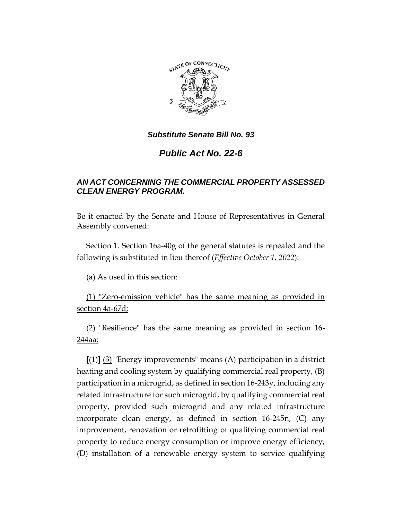

# *Public Act No. 22-6*

# *AN ACT CONCERNING THE COMMERCIAL PROPERTY ASSESSED CLEAN ENERGY PROGRAM.*

Be it enacted by the Senate and House of Representatives in General Assembly convened:

Section 1. Section 16a-40g of the general statutes is repealed and the following is substituted in lieu thereof (*Effective October 1, 2022*):

(a) As used in this section:

(1) "Zero-emission vehicle" has the same meaning as provided in section 4a-67d;

(2) "Resilience" has the same meaning as provided in section 16- 244aa;

**[**(1)**]** (3) "Energy improvements" means (A) participation in a district heating and cooling system by qualifying commercial real property, (B) participation in a microgrid, as defined in section 16-243y, including any related infrastructure for such microgrid, by qualifying commercial real property, provided such microgrid and any related infrastructure incorporate clean energy, as defined in section 16-245n, (C) any improvement, renovation or retrofitting of qualifying commercial real property to reduce energy consumption or improve energy efficiency, (D) installation of a renewable energy system to service qualifying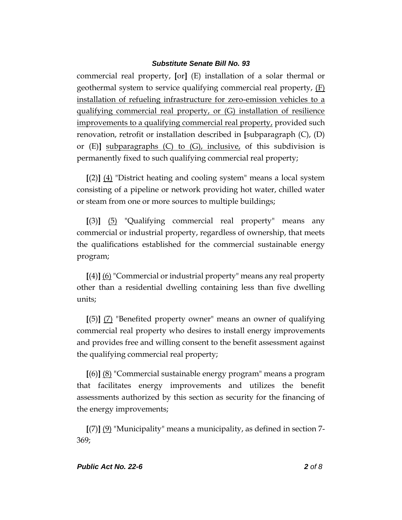commercial real property, **[**or**]** (E) installation of a solar thermal or geothermal system to service qualifying commercial real property, (F) installation of refueling infrastructure for zero-emission vehicles to a qualifying commercial real property, or (G) installation of resilience improvements to a qualifying commercial real property, provided such renovation, retrofit or installation described in **[**subparagraph (C), (D) or (E)**]** subparagraphs (C) to (G), inclusive, of this subdivision is permanently fixed to such qualifying commercial real property;

**[**(2)**]** (4) "District heating and cooling system" means a local system consisting of a pipeline or network providing hot water, chilled water or steam from one or more sources to multiple buildings;

**[**(3)**]** (5) "Qualifying commercial real property" means any commercial or industrial property, regardless of ownership, that meets the qualifications established for the commercial sustainable energy program;

**[**(4)**]** (6) "Commercial or industrial property" means any real property other than a residential dwelling containing less than five dwelling units;

**[**(5)**]** (7) "Benefited property owner" means an owner of qualifying commercial real property who desires to install energy improvements and provides free and willing consent to the benefit assessment against the qualifying commercial real property;

**[**(6)**]** (8) "Commercial sustainable energy program" means a program that facilitates energy improvements and utilizes the benefit assessments authorized by this section as security for the financing of the energy improvements;

**[**(7)**]** (9) "Municipality" means a municipality, as defined in section 7- 369;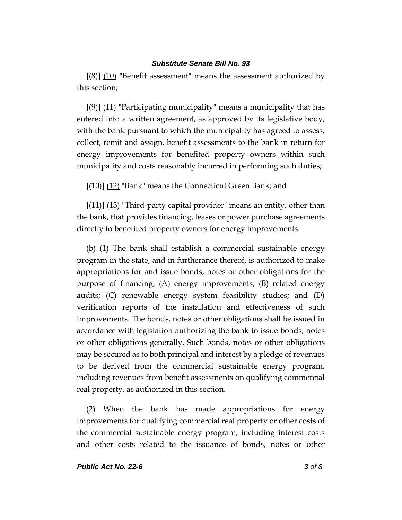**[**(8)**]** (10) "Benefit assessment" means the assessment authorized by this section;

**[**(9)**]** (11) "Participating municipality" means a municipality that has entered into a written agreement, as approved by its legislative body, with the bank pursuant to which the municipality has agreed to assess, collect, remit and assign, benefit assessments to the bank in return for energy improvements for benefited property owners within such municipality and costs reasonably incurred in performing such duties;

**[**(10)**]** (12) "Bank" means the Connecticut Green Bank; and

**[**(11)**]** (13) "Third-party capital provider" means an entity, other than the bank, that provides financing, leases or power purchase agreements directly to benefited property owners for energy improvements.

(b) (1) The bank shall establish a commercial sustainable energy program in the state, and in furtherance thereof, is authorized to make appropriations for and issue bonds, notes or other obligations for the purpose of financing, (A) energy improvements; (B) related energy audits; (C) renewable energy system feasibility studies; and (D) verification reports of the installation and effectiveness of such improvements. The bonds, notes or other obligations shall be issued in accordance with legislation authorizing the bank to issue bonds, notes or other obligations generally. Such bonds, notes or other obligations may be secured as to both principal and interest by a pledge of revenues to be derived from the commercial sustainable energy program, including revenues from benefit assessments on qualifying commercial real property, as authorized in this section.

(2) When the bank has made appropriations for energy improvements for qualifying commercial real property or other costs of the commercial sustainable energy program, including interest costs and other costs related to the issuance of bonds, notes or other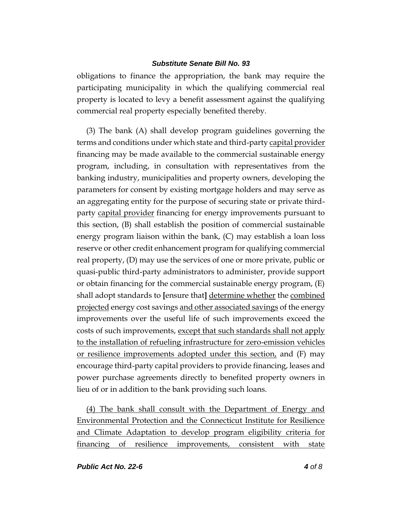obligations to finance the appropriation, the bank may require the participating municipality in which the qualifying commercial real property is located to levy a benefit assessment against the qualifying commercial real property especially benefited thereby.

(3) The bank (A) shall develop program guidelines governing the terms and conditions under which state and third-party capital provider financing may be made available to the commercial sustainable energy program, including, in consultation with representatives from the banking industry, municipalities and property owners, developing the parameters for consent by existing mortgage holders and may serve as an aggregating entity for the purpose of securing state or private thirdparty capital provider financing for energy improvements pursuant to this section, (B) shall establish the position of commercial sustainable energy program liaison within the bank, (C) may establish a loan loss reserve or other credit enhancement program for qualifying commercial real property, (D) may use the services of one or more private, public or quasi-public third-party administrators to administer, provide support or obtain financing for the commercial sustainable energy program, (E) shall adopt standards to **[**ensure that**]** determine whether the combined projected energy cost savings and other associated savings of the energy improvements over the useful life of such improvements exceed the costs of such improvements, except that such standards shall not apply to the installation of refueling infrastructure for zero-emission vehicles or resilience improvements adopted under this section, and (F) may encourage third-party capital providers to provide financing, leases and power purchase agreements directly to benefited property owners in lieu of or in addition to the bank providing such loans.

(4) The bank shall consult with the Department of Energy and Environmental Protection and the Connecticut Institute for Resilience and Climate Adaptation to develop program eligibility criteria for financing of resilience improvements, consistent with state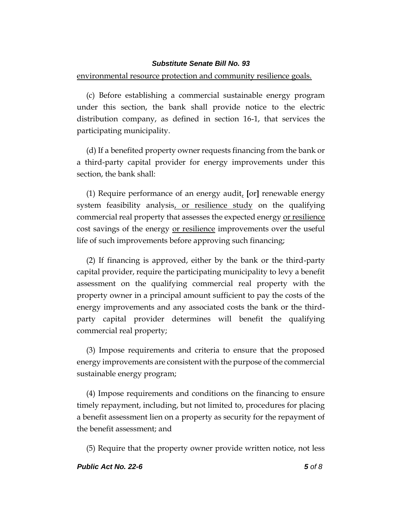#### environmental resource protection and community resilience goals.

(c) Before establishing a commercial sustainable energy program under this section, the bank shall provide notice to the electric distribution company, as defined in section 16-1, that services the participating municipality.

(d) If a benefited property owner requests financing from the bank or a third-party capital provider for energy improvements under this section, the bank shall:

(1) Require performance of an energy audit, **[**or**]** renewable energy system feasibility analysis, or resilience study on the qualifying commercial real property that assesses the expected energy or resilience cost savings of the energy or resilience improvements over the useful life of such improvements before approving such financing;

(2) If financing is approved, either by the bank or the third-party capital provider, require the participating municipality to levy a benefit assessment on the qualifying commercial real property with the property owner in a principal amount sufficient to pay the costs of the energy improvements and any associated costs the bank or the thirdparty capital provider determines will benefit the qualifying commercial real property;

(3) Impose requirements and criteria to ensure that the proposed energy improvements are consistent with the purpose of the commercial sustainable energy program;

(4) Impose requirements and conditions on the financing to ensure timely repayment, including, but not limited to, procedures for placing a benefit assessment lien on a property as security for the repayment of the benefit assessment; and

(5) Require that the property owner provide written notice, not less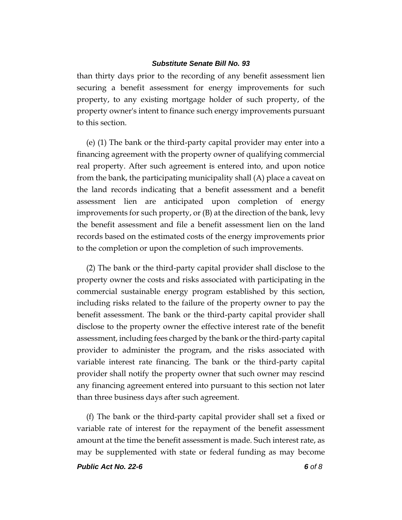than thirty days prior to the recording of any benefit assessment lien securing a benefit assessment for energy improvements for such property, to any existing mortgage holder of such property, of the property owner's intent to finance such energy improvements pursuant to this section.

(e) (1) The bank or the third-party capital provider may enter into a financing agreement with the property owner of qualifying commercial real property. After such agreement is entered into, and upon notice from the bank, the participating municipality shall (A) place a caveat on the land records indicating that a benefit assessment and a benefit assessment lien are anticipated upon completion of energy improvements for such property, or (B) at the direction of the bank, levy the benefit assessment and file a benefit assessment lien on the land records based on the estimated costs of the energy improvements prior to the completion or upon the completion of such improvements.

(2) The bank or the third-party capital provider shall disclose to the property owner the costs and risks associated with participating in the commercial sustainable energy program established by this section, including risks related to the failure of the property owner to pay the benefit assessment. The bank or the third-party capital provider shall disclose to the property owner the effective interest rate of the benefit assessment, including fees charged by the bank or the third-party capital provider to administer the program, and the risks associated with variable interest rate financing. The bank or the third-party capital provider shall notify the property owner that such owner may rescind any financing agreement entered into pursuant to this section not later than three business days after such agreement.

(f) The bank or the third-party capital provider shall set a fixed or variable rate of interest for the repayment of the benefit assessment amount at the time the benefit assessment is made. Such interest rate, as may be supplemented with state or federal funding as may become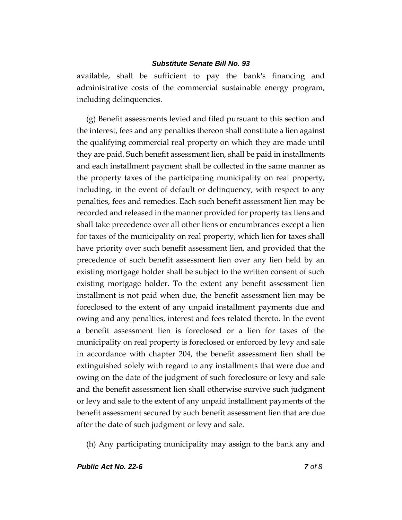available, shall be sufficient to pay the bank's financing and administrative costs of the commercial sustainable energy program, including delinquencies.

(g) Benefit assessments levied and filed pursuant to this section and the interest, fees and any penalties thereon shall constitute a lien against the qualifying commercial real property on which they are made until they are paid. Such benefit assessment lien, shall be paid in installments and each installment payment shall be collected in the same manner as the property taxes of the participating municipality on real property, including, in the event of default or delinquency, with respect to any penalties, fees and remedies. Each such benefit assessment lien may be recorded and released in the manner provided for property tax liens and shall take precedence over all other liens or encumbrances except a lien for taxes of the municipality on real property, which lien for taxes shall have priority over such benefit assessment lien, and provided that the precedence of such benefit assessment lien over any lien held by an existing mortgage holder shall be subject to the written consent of such existing mortgage holder. To the extent any benefit assessment lien installment is not paid when due, the benefit assessment lien may be foreclosed to the extent of any unpaid installment payments due and owing and any penalties, interest and fees related thereto. In the event a benefit assessment lien is foreclosed or a lien for taxes of the municipality on real property is foreclosed or enforced by levy and sale in accordance with chapter 204, the benefit assessment lien shall be extinguished solely with regard to any installments that were due and owing on the date of the judgment of such foreclosure or levy and sale and the benefit assessment lien shall otherwise survive such judgment or levy and sale to the extent of any unpaid installment payments of the benefit assessment secured by such benefit assessment lien that are due after the date of such judgment or levy and sale.

(h) Any participating municipality may assign to the bank any and